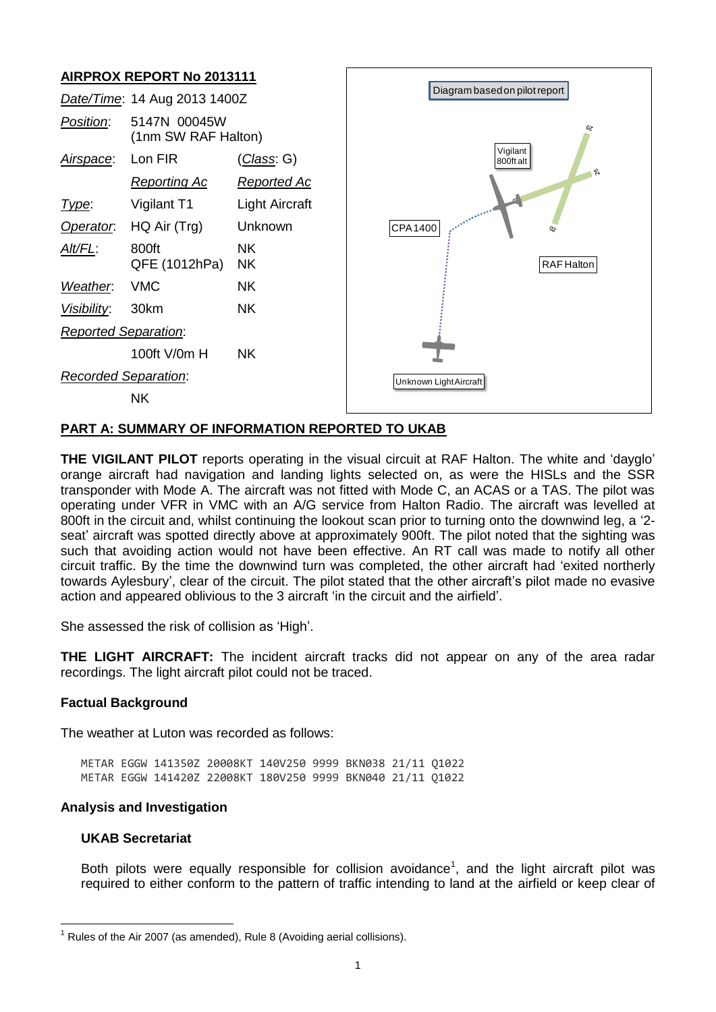# **AIRPROX REPORT No 2013111**



#### **PART A: SUMMARY OF INFORMATION REPORTED TO UKAB**

**THE VIGILANT PILOT** reports operating in the visual circuit at RAF Halton. The white and 'dayglo' orange aircraft had navigation and landing lights selected on, as were the HISLs and the SSR transponder with Mode A. The aircraft was not fitted with Mode C, an ACAS or a TAS. The pilot was operating under VFR in VMC with an A/G service from Halton Radio. The aircraft was levelled at 800ft in the circuit and, whilst continuing the lookout scan prior to turning onto the downwind leg, a '2 seat' aircraft was spotted directly above at approximately 900ft. The pilot noted that the sighting was such that avoiding action would not have been effective. An RT call was made to notify all other circuit traffic. By the time the downwind turn was completed, the other aircraft had 'exited northerly towards Aylesbury', clear of the circuit. The pilot stated that the other aircraft's pilot made no evasive action and appeared oblivious to the 3 aircraft 'in the circuit and the airfield'.

She assessed the risk of collision as 'High'.

**THE LIGHT AIRCRAFT:** The incident aircraft tracks did not appear on any of the area radar recordings. The light aircraft pilot could not be traced.

#### **Factual Background**

The weather at Luton was recorded as follows:

METAR EGGW 141350Z 20008KT 140V250 9999 BKN038 21/11 Q1022 METAR EGGW 141420Z 22008KT 180V250 9999 BKN040 21/11 Q1022

#### **Analysis and Investigation**

### **UKAB Secretariat**

 $\overline{a}$ 

Both pilots were equally responsible for collision avoidance<sup>1</sup>, and the light aircraft pilot was required to either conform to the pattern of traffic intending to land at the airfield or keep clear of

 $1$  Rules of the Air 2007 (as amended), Rule 8 (Avoiding aerial collisions).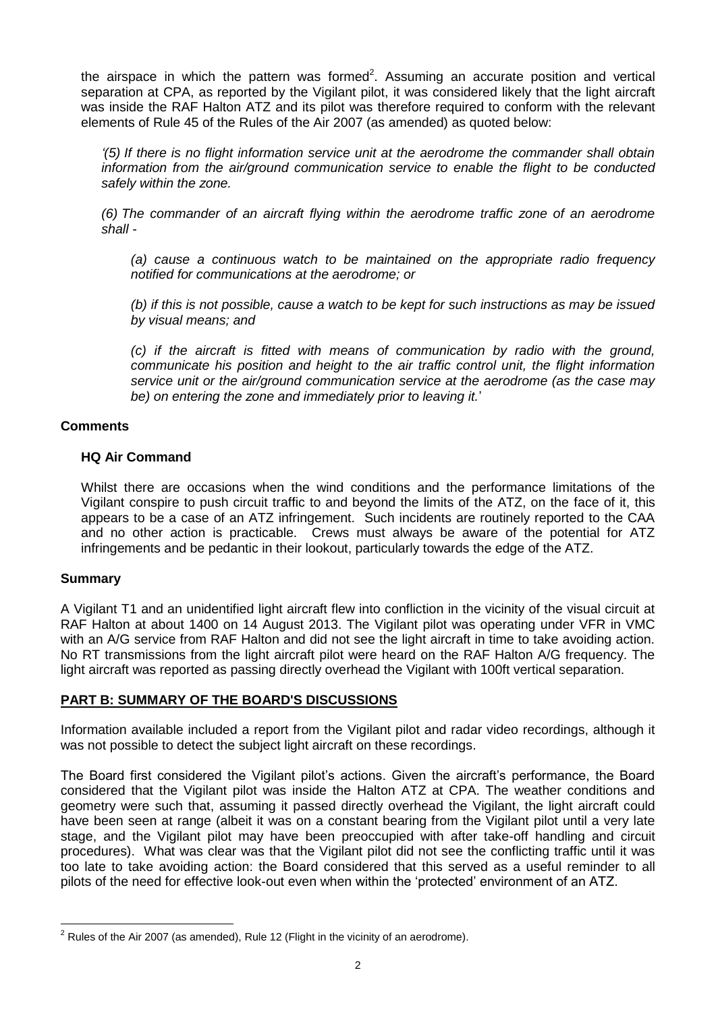the airspace in which the pattern was formed<sup>2</sup>. Assuming an accurate position and vertical separation at CPA, as reported by the Vigilant pilot, it was considered likely that the light aircraft was inside the RAF Halton ATZ and its pilot was therefore required to conform with the relevant elements of Rule 45 of the Rules of the Air 2007 (as amended) as quoted below:

*'(5) If there is no flight information service unit at the aerodrome the commander shall obtain information from the air/ground communication service to enable the flight to be conducted safely within the zone.*

*(6) The commander of an aircraft flying within the aerodrome traffic zone of an aerodrome shall -*

*(a) cause a continuous watch to be maintained on the appropriate radio frequency notified for communications at the aerodrome; or*

*(b) if this is not possible, cause a watch to be kept for such instructions as may be issued by visual means; and*

*(c) if the aircraft is fitted with means of communication by radio with the ground, communicate his position and height to the air traffic control unit, the flight information service unit or the air/ground communication service at the aerodrome (as the case may be) on entering the zone and immediately prior to leaving it.*'

# **Comments**

#### **HQ Air Command**

Whilst there are occasions when the wind conditions and the performance limitations of the Vigilant conspire to push circuit traffic to and beyond the limits of the ATZ, on the face of it, this appears to be a case of an ATZ infringement. Such incidents are routinely reported to the CAA and no other action is practicable. Crews must always be aware of the potential for ATZ infringements and be pedantic in their lookout, particularly towards the edge of the ATZ.

# **Summary**

 $\overline{a}$ 

A Vigilant T1 and an unidentified light aircraft flew into confliction in the vicinity of the visual circuit at RAF Halton at about 1400 on 14 August 2013. The Vigilant pilot was operating under VFR in VMC with an A/G service from RAF Halton and did not see the light aircraft in time to take avoiding action. No RT transmissions from the light aircraft pilot were heard on the RAF Halton A/G frequency. The light aircraft was reported as passing directly overhead the Vigilant with 100ft vertical separation.

# **PART B: SUMMARY OF THE BOARD'S DISCUSSIONS**

Information available included a report from the Vigilant pilot and radar video recordings, although it was not possible to detect the subject light aircraft on these recordings.

The Board first considered the Vigilant pilot's actions. Given the aircraft's performance, the Board considered that the Vigilant pilot was inside the Halton ATZ at CPA. The weather conditions and geometry were such that, assuming it passed directly overhead the Vigilant, the light aircraft could have been seen at range (albeit it was on a constant bearing from the Vigilant pilot until a very late stage, and the Vigilant pilot may have been preoccupied with after take-off handling and circuit procedures). What was clear was that the Vigilant pilot did not see the conflicting traffic until it was too late to take avoiding action: the Board considered that this served as a useful reminder to all pilots of the need for effective look-out even when within the 'protected' environment of an ATZ.

 $2$  Rules of the Air 2007 (as amended), Rule 12 (Flight in the vicinity of an aerodrome).